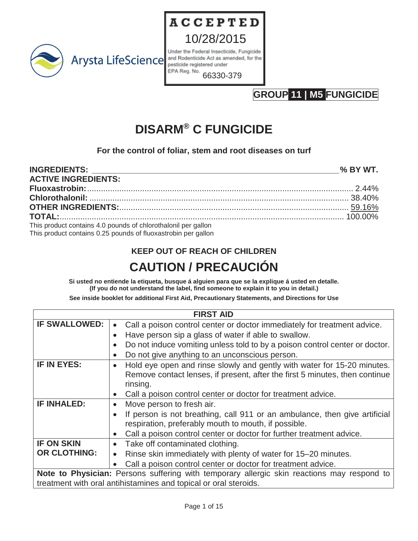

10/28/2015 Under the Federal Insecticide, Fungicide and Rodenticide Act as amended, for the pesticide registered under EPA Reg. No.

**ACCEPTED** 

66330-379

## **GROUP 11 | M5 FUNGICIDE**

# **DISARM® C FUNGICIDE**

**For the control of foliar, stem and root diseases on turf**

| <b>ACTIVE INGREDIENTS:</b>                                                                                                     |  |
|--------------------------------------------------------------------------------------------------------------------------------|--|
|                                                                                                                                |  |
|                                                                                                                                |  |
| <b>OTHER INGREDIENTS:</b> 59.16%                                                                                               |  |
|                                                                                                                                |  |
| This product contains 4.0 pounds of chlorothalonil per gallon<br>This product contains 0.25 pounds of fluoxastrobin per gallon |  |

## **KEEP OUT OF REACH OF CHILDREN CAUTION / PRECAUCIÓN**

**Si usted no entiende la etiqueta, busque á alguien para que se la explique á usted en detalle. (If you do not understand the label, find someone to explain it to you in detail.)**

**See inside booklet for additional First Aid, Precautionary Statements, and Directions for Use**

| <b>FIRST AID</b>                                                                           |                                                                             |  |  |  |
|--------------------------------------------------------------------------------------------|-----------------------------------------------------------------------------|--|--|--|
| <b>IF SWALLOWED:</b>                                                                       | Call a poison control center or doctor immediately for treatment advice.    |  |  |  |
|                                                                                            | Have person sip a glass of water if able to swallow.<br>$\bullet$           |  |  |  |
|                                                                                            | Do not induce vomiting unless told to by a poison control center or doctor. |  |  |  |
|                                                                                            | Do not give anything to an unconscious person.                              |  |  |  |
| IF IN EYES:                                                                                | Hold eye open and rinse slowly and gently with water for 15-20 minutes.     |  |  |  |
|                                                                                            | Remove contact lenses, if present, after the first 5 minutes, then continue |  |  |  |
|                                                                                            | rinsing.                                                                    |  |  |  |
|                                                                                            | Call a poison control center or doctor for treatment advice.<br>$\bullet$   |  |  |  |
| <b>IF INHALED:</b>                                                                         | Move person to fresh air.                                                   |  |  |  |
|                                                                                            | If person is not breathing, call 911 or an ambulance, then give artificial  |  |  |  |
|                                                                                            | respiration, preferably mouth to mouth, if possible.                        |  |  |  |
|                                                                                            | Call a poison control center or doctor for further treatment advice.        |  |  |  |
| <b>IF ON SKIN</b>                                                                          | Take off contaminated clothing.<br>$\bullet$                                |  |  |  |
| <b>OR CLOTHING:</b>                                                                        | Rinse skin immediately with plenty of water for 15-20 minutes.              |  |  |  |
|                                                                                            | Call a poison control center or doctor for treatment advice.                |  |  |  |
| Note to Physician: Persons suffering with temporary allergic skin reactions may respond to |                                                                             |  |  |  |
|                                                                                            | treatment with oral antihistamines and topical or oral steroids.            |  |  |  |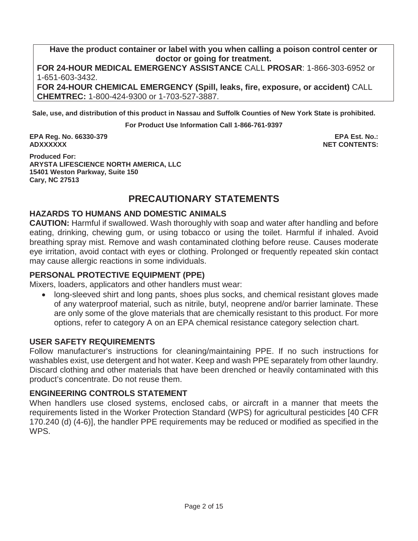**Have the product container or label with you when calling a poison control center or doctor or going for treatment.**

**FOR 24-HOUR MEDICAL EMERGENCY ASSISTANCE** CALL **PROSAR**: 1-866-303-6952 or 1-651-603-3432.

**FOR 24-HOUR CHEMICAL EMERGENCY (Spill, leaks, fire, exposure, or accident)** CALL **CHEMTREC:** 1-800-424-9300 or 1-703-527-3887.

**Sale, use, and distribution of this product in Nassau and Suffolk Counties of New York State is prohibited.**

**For Product Use Information Call 1-866-761-9397**

**EPA Reg. No. 66330-379 EPA Est. No.: ADXXXXXX NET CONTENTS:**

**Produced For: ARYSTA LIFESCIENCE NORTH AMERICA, LLC 15401 Weston Parkway, Suite 150 Cary, NC 27513**

## **PRECAUTIONARY STATEMENTS**

#### **HAZARDS TO HUMANS AND DOMESTIC ANIMALS**

**CAUTION:** Harmful if swallowed. Wash thoroughly with soap and water after handling and before eating, drinking, chewing gum, or using tobacco or using the toilet. Harmful if inhaled. Avoid breathing spray mist. Remove and wash contaminated clothing before reuse. Causes moderate eye irritation, avoid contact with eyes or clothing. Prolonged or frequently repeated skin contact may cause allergic reactions in some individuals.

#### **PERSONAL PROTECTIVE EQUIPMENT (PPE)**

Mixers, loaders, applicators and other handlers must wear:

long-sleeved shirt and long pants, shoes plus socks, and chemical resistant gloves made of any waterproof material, such as nitrile, butyl, neoprene and/or barrier laminate. These are only some of the glove materials that are chemically resistant to this product. For more options, refer to category A on an EPA chemical resistance category selection chart.

#### **USER SAFETY REQUIREMENTS**

Follow manufacturer's instructions for cleaning/maintaining PPE. If no such instructions for washables exist, use detergent and hot water. Keep and wash PPE separately from other laundry. Discard clothing and other materials that have been drenched or heavily contaminated with this product's concentrate. Do not reuse them.

#### **ENGINEERING CONTROLS STATEMENT**

When handlers use closed systems, enclosed cabs, or aircraft in a manner that meets the requirements listed in the Worker Protection Standard (WPS) for agricultural pesticides [40 CFR 170.240 (d) (4-6)], the handler PPE requirements may be reduced or modified as specified in the WPS.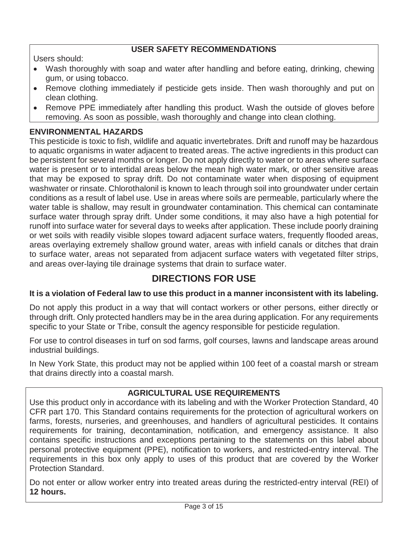#### **USER SAFETY RECOMMENDATIONS**

Users should:

- Wash thoroughly with soap and water after handling and before eating, drinking, chewing gum, or using tobacco.
- Remove clothing immediately if pesticide gets inside. Then wash thoroughly and put on clean clothing.
- Remove PPE immediately after handling this product. Wash the outside of gloves before removing. As soon as possible, wash thoroughly and change into clean clothing.

#### **ENVIRONMENTAL HAZARDS**

This pesticide is toxic to fish, wildlife and aquatic invertebrates. Drift and runoff may be hazardous to aquatic organisms in water adjacent to treated areas. The active ingredients in this product can be persistent for several months or longer. Do not apply directly to water or to areas where surface water is present or to intertidal areas below the mean high water mark, or other sensitive areas that may be exposed to spray drift. Do not contaminate water when disposing of equipment washwater or rinsate. Chlorothalonil is known to leach through soil into groundwater under certain conditions as a result of label use. Use in areas where soils are permeable, particularly where the water table is shallow, may result in groundwater contamination. This chemical can contaminate surface water through spray drift. Under some conditions, it may also have a high potential for runoff into surface water for several days to weeks after application. These include poorly draining or wet soils with readily visible slopes toward adjacent surface waters, frequently flooded areas, areas overlaying extremely shallow ground water, areas with infield canals or ditches that drain to surface water, areas not separated from adjacent surface waters with vegetated filter strips, and areas over-laying tile drainage systems that drain to surface water.

## **DIRECTIONS FOR USE**

#### **It is a violation of Federal law to use this product in a manner inconsistent with its labeling.**

Do not apply this product in a way that will contact workers or other persons, either directly or through drift. Only protected handlers may be in the area during application. For any requirements specific to your State or Tribe, consult the agency responsible for pesticide regulation.

For use to control diseases in turf on sod farms, golf courses, lawns and landscape areas around industrial buildings.

In New York State, this product may not be applied within 100 feet of a coastal marsh or stream that drains directly into a coastal marsh.

#### **AGRICULTURAL USE REQUIREMENTS**

Use this product only in accordance with its labeling and with the Worker Protection Standard, 40 CFR part 170. This Standard contains requirements for the protection of agricultural workers on farms, forests, nurseries, and greenhouses, and handlers of agricultural pesticides. It contains requirements for training, decontamination, notification, and emergency assistance. It also contains specific instructions and exceptions pertaining to the statements on this label about personal protective equipment (PPE), notification to workers, and restricted-entry interval. The requirements in this box only apply to uses of this product that are covered by the Worker Protection Standard.

Do not enter or allow worker entry into treated areas during the restricted-entry interval (REI) of **12 hours.**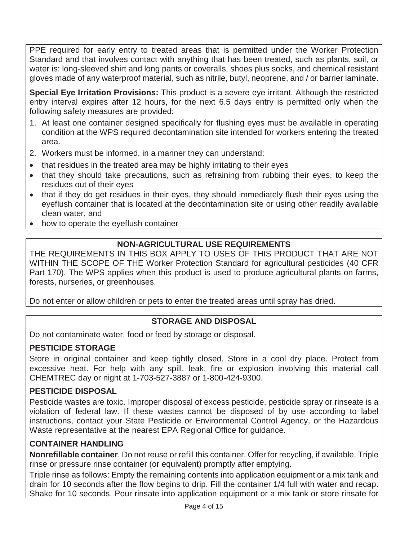PPE required for early entry to treated areas that is permitted under the Worker Protection Standard and that involves contact with anything that has been treated, such as plants, soil, or water is: long-sleeved shirt and long pants or coveralls, shoes plus socks, and chemical resistant gloves made of any waterproof material, such as nitrile, butyl, neoprene, and / or barrier laminate.

**Special Eye Irritation Provisions:** This product is a severe eye irritant. Although the restricted entry interval expires after 12 hours, for the next 6.5 days entry is permitted only when the following safety measures are provided:

- 1. At least one container designed specifically for flushing eyes must be available in operating condition at the WPS required decontamination site intended for workers entering the treated area.
- 2. Workers must be informed, in a manner they can understand:
- that residues in the treated area may be highly irritating to their eyes
- that they should take precautions, such as refraining from rubbing their eyes, to keep the residues out of their eyes
- that if they do get residues in their eyes, they should immediately flush their eyes using the eyeflush container that is located at the decontamination site or using other readily available clean water, and
- how to operate the eyeflush container

## **NON-AGRICULTURAL USE REQUIREMENTS**

THE REQUIREMENTS IN THIS BOX APPLY TO USES OF THIS PRODUCT THAT ARE NOT WITHIN THE SCOPE OF THE Worker Protection Standard for agricultural pesticides (40 CFR Part 170). The WPS applies when this product is used to produce agricultural plants on farms, forests, nurseries, or greenhouses.

Do not enter or allow children or pets to enter the treated areas until spray has dried.

#### **STORAGE AND DISPOSAL**

Do not contaminate water, food or feed by storage or disposal.

#### **PESTICIDE STORAGE**

Store in original container and keep tightly closed. Store in a cool dry place. Protect from excessive heat. For help with any spill, leak, fire or explosion involving this material call CHEMTREC day or night at 1-703-527-3887 or 1-800-424-9300.

#### **PESTICIDE DISPOSAL**

Pesticide wastes are toxic. Improper disposal of excess pesticide, pesticide spray or rinseate is a violation of federal law. If these wastes cannot be disposed of by use according to label instructions, contact your State Pesticide or Environmental Control Agency, or the Hazardous Waste representative at the nearest EPA Regional Office for guidance.

#### **CONTAINER HANDLING**

**Nonrefillable container**. Do not reuse or refill this container. Offer for recycling, if available. Triple rinse or pressure rinse container (or equivalent) promptly after emptying.

Triple rinse as follows: Empty the remaining contents into application equipment or a mix tank and drain for 10 seconds after the flow begins to drip. Fill the container 1/4 full with water and recap. Shake for 10 seconds. Pour rinsate into application equipment or a mix tank or store rinsate for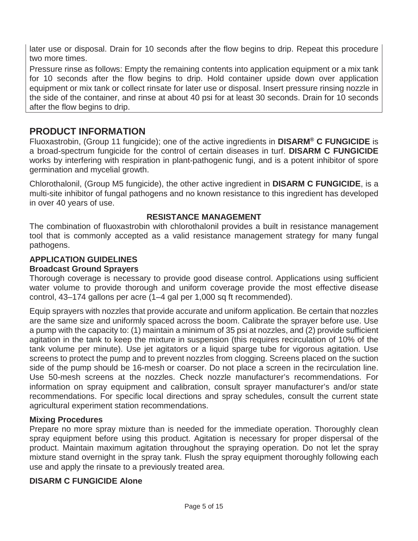later use or disposal. Drain for 10 seconds after the flow begins to drip. Repeat this procedure two more times.

Pressure rinse as follows: Empty the remaining contents into application equipment or a mix tank for 10 seconds after the flow begins to drip. Hold container upside down over application equipment or mix tank or collect rinsate for later use or disposal. Insert pressure rinsing nozzle in the side of the container, and rinse at about 40 psi for at least 30 seconds. Drain for 10 seconds after the flow begins to drip.

## **PRODUCT INFORMATION**

Fluoxastrobin, (Group 11 fungicide); one of the active ingredients in **DISARM® C FUNGICIDE** is a broad-spectrum fungicide for the control of certain diseases in turf. **DISARM C FUNGICIDE** works by interfering with respiration in plant-pathogenic fungi, and is a potent inhibitor of spore germination and mycelial growth.

Chlorothalonil, (Group M5 fungicide), the other active ingredient in **DISARM C FUNGICIDE**, is a multi-site inhibitor of fungal pathogens and no known resistance to this ingredient has developed in over 40 years of use.

#### **RESISTANCE MANAGEMENT**

The combination of fluoxastrobin with chlorothalonil provides a built in resistance management tool that is commonly accepted as a valid resistance management strategy for many fungal pathogens.

## **APPLICATION GUIDELINES**

#### **Broadcast Ground Sprayers**

Thorough coverage is necessary to provide good disease control. Applications using sufficient water volume to provide thorough and uniform coverage provide the most effective disease control, 43–174 gallons per acre (1–4 gal per 1,000 sq ft recommended).

Equip sprayers with nozzles that provide accurate and uniform application. Be certain that nozzles are the same size and uniformly spaced across the boom. Calibrate the sprayer before use. Use a pump with the capacity to: (1) maintain a minimum of 35 psi at nozzles, and (2) provide sufficient agitation in the tank to keep the mixture in suspension (this requires recirculation of 10% of the tank volume per minute). Use jet agitators or a liquid sparge tube for vigorous agitation. Use screens to protect the pump and to prevent nozzles from clogging. Screens placed on the suction side of the pump should be 16-mesh or coarser. Do not place a screen in the recirculation line. Use 50-mesh screens at the nozzles. Check nozzle manufacturer's recommendations. For information on spray equipment and calibration, consult sprayer manufacturer's and/or state recommendations. For specific local directions and spray schedules, consult the current state agricultural experiment station recommendations.

#### **Mixing Procedures**

Prepare no more spray mixture than is needed for the immediate operation. Thoroughly clean spray equipment before using this product. Agitation is necessary for proper dispersal of the product. Maintain maximum agitation throughout the spraying operation. Do not let the spray mixture stand overnight in the spray tank. Flush the spray equipment thoroughly following each use and apply the rinsate to a previously treated area.

#### **DISARM C FUNGICIDE Alone**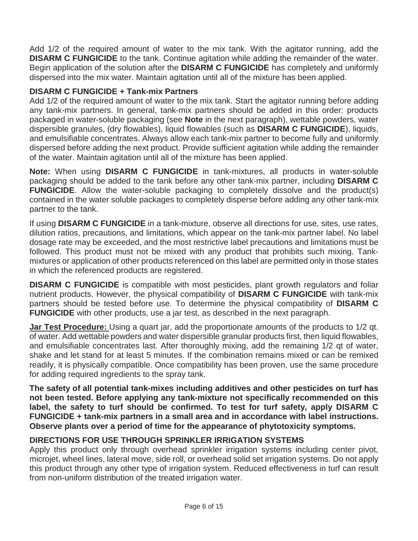Add 1/2 of the required amount of water to the mix tank. With the agitator running, add the **DISARM C FUNGICIDE** to the tank. Continue agitation while adding the remainder of the water. Begin application of the solution after the **DISARM C FUNGICIDE** has completely and uniformly dispersed into the mix water. Maintain agitation until all of the mixture has been applied.

#### **DISARM C FUNGICIDE + Tank-mix Partners**

Add 1/2 of the required amount of water to the mix tank. Start the agitator running before adding any tank-mix partners. In general, tank-mix partners should be added in this order: products packaged in water-soluble packaging (see **Note** in the next paragraph), wettable powders, water dispersible granules, (dry flowables), liquid flowables (such as **DISARM C FUNGICIDE**), liquids, and emulsifiable concentrates. Always allow each tank-mix partner to become fully and uniformly dispersed before adding the next product. Provide sufficient agitation while adding the remainder of the water. Maintain agitation until all of the mixture has been applied.

**Note:** When using **DISARM C FUNGICIDE** in tank-mixtures, all products in water-soluble packaging should be added to the tank before any other tank-mix partner, including **DISARM C FUNGICIDE**. Allow the water-soluble packaging to completely dissolve and the product(s) contained in the water soluble packages to completely disperse before adding any other tank-mix partner to the tank.

If using **DISARM C FUNGICIDE** in a tank-mixture, observe all directions for use, sites, use rates, dilution ratios, precautions, and limitations, which appear on the tank-mix partner label. No label dosage rate may be exceeded, and the most restrictive label precautions and limitations must be followed. This product must not be mixed with any product that prohibits such mixing. Tankmixtures or application of other products referenced on this label are permitted only in those states in which the referenced products are registered.

**DISARM C FUNGICIDE** is compatible with most pesticides, plant growth regulators and foliar nutrient products. However, the physical compatibility of **DISARM C FUNGICIDE** with tank-mix partners should be tested before use. To determine the physical compatibility of **DISARM C FUNGICIDE** with other products, use a jar test, as described in the next paragraph.

**Jar Test Procedure:** Using a quart jar, add the proportionate amounts of the products to 1/2 qt. of water. Add wettable powders and water dispersible granular products first, then liquid flowables, and emulsifiable concentrates last. After thoroughly mixing, add the remaining 1/2 qt of water, shake and let stand for at least 5 minutes. If the combination remains mixed or can be remixed readily, it is physically compatible. Once compatibility has been proven, use the same procedure for adding required ingredients to the spray tank.

**The safety of all potential tank-mixes including additives and other pesticides on turf has not been tested. Before applying any tank-mixture not specifically recommended on this label, the safety to turf should be confirmed. To test for turf safety, apply DISARM C FUNGICIDE + tank-mix partners in a small area and in accordance with label instructions. Observe plants over a period of time for the appearance of phytotoxicity symptoms.**

## **DIRECTIONS FOR USE THROUGH SPRINKLER IRRIGATION SYSTEMS**

Apply this product only through overhead sprinkler irrigation systems including center pivot, microjet, wheel lines, lateral move, side roll, or overhead solid set irrigation systems. Do not apply this product through any other type of irrigation system. Reduced effectiveness in turf can result from non-uniform distribution of the treated irrigation water.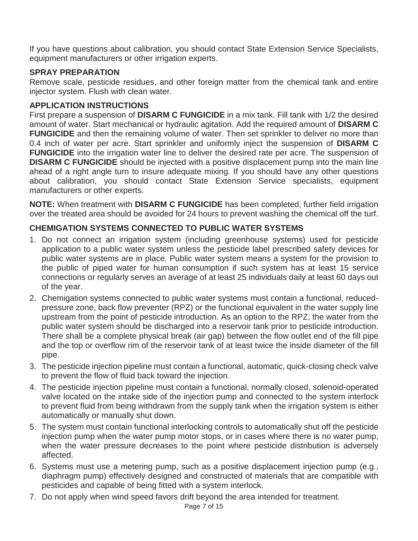If you have questions about calibration, you should contact State Extension Service Specialists, equipment manufacturers or other irrigation experts.

## **SPRAY PREPARATION**

Remove scale, pesticide residues, and other foreign matter from the chemical tank and entire injector system. Flush with clean water.

### **APPLICATION INSTRUCTIONS**

First prepare a suspension of **DISARM C FUNGICIDE** in a mix tank. Fill tank with 1/2 the desired amount of water. Start mechanical or hydraulic agitation. Add the required amount of **DISARM C FUNGICIDE** and then the remaining volume of water. Then set sprinkler to deliver no more than 0.4 inch of water per acre. Start sprinkler and uniformly inject the suspension of **DISARM C FUNGICIDE** into the irrigation water line to deliver the desired rate per acre. The suspension of **DISARM C FUNGICIDE** should be injected with a positive displacement pump into the main line ahead of a right angle turn to insure adequate mixing. If you should have any other questions about calibration, you should contact State Extension Service specialists, equipment manufacturers or other experts.

**NOTE:** When treatment with **DISARM C FUNGICIDE** has been completed, further field irrigation over the treated area should be avoided for 24 hours to prevent washing the chemical off the turf.

## **CHEMIGATION SYSTEMS CONNECTED TO PUBLIC WATER SYSTEMS**

- 1. Do not connect an irrigation system (including greenhouse systems) used for pesticide application to a public water system unless the pesticide label prescribed safety devices for public water systems are in place. Public water system means a system for the provision to the public of piped water for human consumption if such system has at least 15 service connections or regularly serves an average of at least 25 individuals daily at least 60 days out of the year.
- 2. Chemigation systems connected to public water systems must contain a functional, reducedpressure zone, back flow preventer (RPZ) or the functional equivalent in the water supply line upstream from the point of pesticide introduction. As an option to the RPZ, the water from the public water system should be discharged into a reservoir tank prior to pesticide introduction. There shall be a complete physical break (air gap) between the flow outlet end of the fill pipe and the top or overflow rim of the reservoir tank of at least twice the inside diameter of the fill pipe.
- 3. The pesticide injection pipeline must contain a functional, automatic, quick-closing check valve to prevent the flow of fluid back toward the injection.
- 4. The pesticide injection pipeline must contain a functional, normally closed, solenoid-operated valve located on the intake side of the injection pump and connected to the system interlock to prevent fluid from being withdrawn from the supply tank when the irrigation system is either automatically or manually shut down.
- 5. The system must contain functional interlocking controls to automatically shut off the pesticide injection pump when the water pump motor stops, or in cases where there is no water pump, when the water pressure decreases to the point where pesticide distribution is adversely affected.
- 6. Systems must use a metering pump, such as a positive displacement injection pump (e.g., diaphragm pump) effectively designed and constructed of materials that are compatible with pesticides and capable of being fitted with a system interlock.
- 7. Do not apply when wind speed favors drift beyond the area intended for treatment.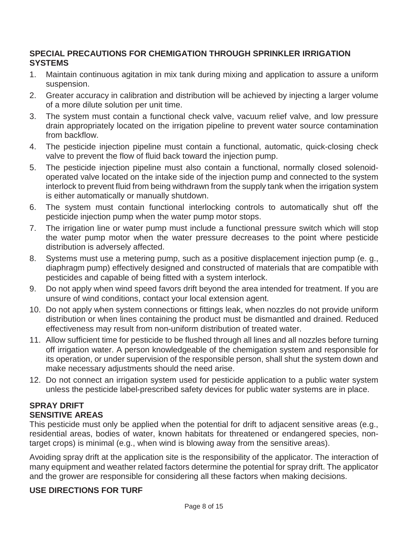#### **SPECIAL PRECAUTIONS FOR CHEMIGATION THROUGH SPRINKLER IRRIGATION SYSTEMS**

- 1. Maintain continuous agitation in mix tank during mixing and application to assure a uniform suspension.
- 2. Greater accuracy in calibration and distribution will be achieved by injecting a larger volume of a more dilute solution per unit time.
- 3. The system must contain a functional check valve, vacuum relief valve, and low pressure drain appropriately located on the irrigation pipeline to prevent water source contamination from backflow.
- 4. The pesticide injection pipeline must contain a functional, automatic, quick-closing check valve to prevent the flow of fluid back toward the injection pump.
- 5. The pesticide injection pipeline must also contain a functional, normally closed solenoidoperated valve located on the intake side of the injection pump and connected to the system interlock to prevent fluid from being withdrawn from the supply tank when the irrigation system is either automatically or manually shutdown.
- 6. The system must contain functional interlocking controls to automatically shut off the pesticide injection pump when the water pump motor stops.
- 7. The irrigation line or water pump must include a functional pressure switch which will stop the water pump motor when the water pressure decreases to the point where pesticide distribution is adversely affected.
- 8. Systems must use a metering pump, such as a positive displacement injection pump (e. g., diaphragm pump) effectively designed and constructed of materials that are compatible with pesticides and capable of being fitted with a system interlock.
- 9. Do not apply when wind speed favors drift beyond the area intended for treatment. If you are unsure of wind conditions, contact your local extension agent.
- 10. Do not apply when system connections or fittings leak, when nozzles do not provide uniform distribution or when lines containing the product must be dismantled and drained. Reduced effectiveness may result from non-uniform distribution of treated water.
- 11. Allow sufficient time for pesticide to be flushed through all lines and all nozzles before turning off irrigation water. A person knowledgeable of the chemigation system and responsible for its operation, or under supervision of the responsible person, shall shut the system down and make necessary adjustments should the need arise.
- 12. Do not connect an irrigation system used for pesticide application to a public water system unless the pesticide label-prescribed safety devices for public water systems are in place.

#### **SPRAY DRIFT SENSITIVE AREAS**

This pesticide must only be applied when the potential for drift to adjacent sensitive areas (e.g., residential areas, bodies of water, known habitats for threatened or endangered species, nontarget crops) is minimal (e.g., when wind is blowing away from the sensitive areas).

Avoiding spray drift at the application site is the responsibility of the applicator. The interaction of many equipment and weather related factors determine the potential for spray drift. The applicator and the grower are responsible for considering all these factors when making decisions.

## **USE DIRECTIONS FOR TURF**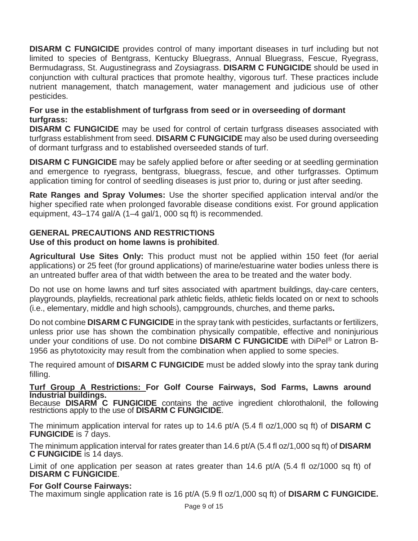**DISARM C FUNGICIDE** provides control of many important diseases in turf including but not limited to species of Bentgrass, Kentucky Bluegrass, Annual Bluegrass, Fescue, Ryegrass, Bermudagrass, St. Augustinegrass and Zoysiagrass. **DISARM C FUNGICIDE** should be used in conjunction with cultural practices that promote healthy, vigorous turf. These practices include nutrient management, thatch management, water management and judicious use of other pesticides.

#### **For use in the establishment of turfgrass from seed or in overseeding of dormant turfgrass:**

**DISARM C FUNGICIDE** may be used for control of certain turfgrass diseases associated with turfgrass establishment from seed. **DISARM C FUNGICIDE** may also be used during overseeding of dormant turfgrass and to established overseeded stands of turf.

**DISARM C FUNGICIDE** may be safely applied before or after seeding or at seedling germination and emergence to ryegrass, bentgrass, bluegrass, fescue, and other turfgrasses. Optimum application timing for control of seedling diseases is just prior to, during or just after seeding.

**Rate Ranges and Spray Volumes:** Use the shorter specified application interval and/or the higher specified rate when prolonged favorable disease conditions exist. For ground application equipment, 43–174 gal/A (1–4 gal/1, 000 sq ft) is recommended.

## **GENERAL PRECAUTIONS AND RESTRICTIONS**

#### **Use of this product on home lawns is prohibited**.

**Agricultural Use Sites Only:** This product must not be applied within 150 feet (for aerial applications) or 25 feet (for ground applications) of marine/estuarine water bodies unless there is an untreated buffer area of that width between the area to be treated and the water body.

Do not use on home lawns and turf sites associated with apartment buildings, day-care centers, playgrounds, playfields, recreational park athletic fields, athletic fields located on or next to schools (i.e., elementary, middle and high schools), campgrounds, churches, and theme parks**.**

Do not combine **DISARM C FUNGICIDE** in the spray tank with pesticides, surfactants or fertilizers, unless prior use has shown the combination physically compatible, effective and noninjurious under your conditions of use. Do not combine **DISARM C FUNGICIDE** with DiPel® or Latron B-1956 as phytotoxicity may result from the combination when applied to some species.

The required amount of **DISARM C FUNGICIDE** must be added slowly into the spray tank during filling.

#### **Turf Group A Restrictions: For Golf Course Fairways, Sod Farms, Lawns around Industrial buildings.**

Because **DISARM C FUNGICIDE** contains the active ingredient chlorothalonil, the following restrictions apply to the use of **DISARM C FUNGICIDE**.

The minimum application interval for rates up to 14.6 pt/A (5.4 fl oz/1,000 sq ft) of **DISARM C FUNGICIDE** is 7 days.

The minimum application interval for rates greater than 14.6 pt/A (5.4 fl oz/1,000 sq ft) of **DISARM C FUNGICIDE** is 14 days.

Limit of one application per season at rates greater than 14.6 pt/A (5.4 fl oz/1000 sq ft) of **DISARM C FUNGICIDE**.

#### **For Golf Course Fairways:**

The maximum single application rate is 16 pt/A (5.9 fl oz/1,000 sq ft) of **DISARM C FUNGICIDE.**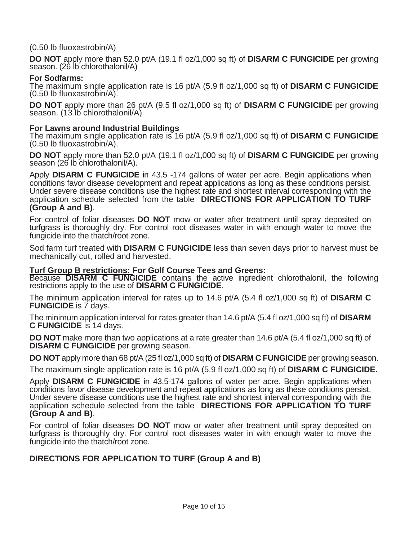(0.50 lb fluoxastrobin/A)

**DO NOT** apply more than 52.0 pt/A (19.1 fl oz/1,000 sq ft) of **DISARM C FUNGICIDE** per growing season. (26 lb chlorothalonil/A)

#### **For Sodfarms:**

The maximum single application rate is 16 pt/A (5.9 fl oz/1,000 sq ft) of **DISARM C FUNGICIDE**  (0.50 lb fluoxastrobin/A).

**DO NOT** apply more than 26 pt/A (9.5 fl oz/1,000 sq ft) of **DISARM C FUNGICIDE** per growing season. (13 lb chlorothalonil/A)

#### **For Lawns around Industrial Buildings**

The maximum single application rate is 16 pt/A (5.9 fl oz/1,000 sq ft) of **DISARM C FUNGICIDE** (0.50 lb fluoxastrobin/A).

**DO NOT** apply more than 52.0 pt/A (19.1 fl oz/1,000 sq ft) of **DISARM C FUNGICIDE** per growing season (26 lb chlorothalonil/A).

Apply **DISARM C FUNGICIDE** in 43.5 -174 gallons of water per acre. Begin applications when conditions favor disease development and repeat applications as long as these conditions persist. Under severe disease conditions use the highest rate and shortest interval corresponding with the application schedule selected from the table **DIRECTIONS FOR APPLICATION TO TURF (Group A and B)**.

For control of foliar diseases **DO NOT** mow or water after treatment until spray deposited on turfgrass is thoroughly dry. For control root diseases water in with enough water to move the fungicide into the thatch/root zone.

Sod farm turf treated with **DISARM C FUNGICIDE** less than seven days prior to harvest must be mechanically cut, rolled and harvested.

#### **Turf Group B restrictions: For Golf Course Tees and Greens:**

Because **DISARM C FUNGICIDE** contains the active ingredient chlorothalonil, the following restrictions apply to the use of **DISARM C FUNGICIDE**.

The minimum application interval for rates up to 14.6 pt/A (5.4 fl oz/1,000 sq ft) of **DISARM C FUNGICIDE** is 7 days.

The minimum application interval for rates greater than 14.6 pt/A (5.4 fl oz/1,000 sq ft) of **DISARM C FUNGICIDE** is 14 days.

**DO NOT** make more than two applications at a rate greater than 14.6 pt/A (5.4 fl oz/1,000 sq ft) of **DISARM C FUNGICIDE** per growing season.

**DO NOT** apply more than 68 pt/A (25 fl oz/1,000 sq ft) of **DISARM C FUNGICIDE** per growing season.

The maximum single application rate is 16 pt/A (5.9 fl oz/1,000 sq ft) of **DISARM C FUNGICIDE.**

Apply **DISARM C FUNGICIDE** in 43.5-174 gallons of water per acre. Begin applications when conditions favor disease development and repeat applications as long as these conditions persist. Under severe disease conditions use the highest rate and shortest interval corresponding with the application schedule selected from the table **DIRECTIONS FOR APPLICATION TO TURF (Group A and B)**.

For control of foliar diseases **DO NOT** mow or water after treatment until spray deposited on turfgrass is thoroughly dry. For control root diseases water in with enough water to move the fungicide into the thatch/root zone.

#### **DIRECTIONS FOR APPLICATION TO TURF (Group A and B)**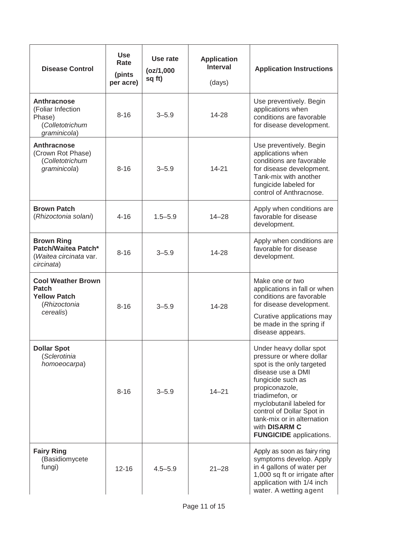| <b>Disease Control</b>                                                                 | <b>Use</b><br>Rate<br>(pints<br>per acre) | Use rate<br>(oz/1,000)<br>sq ft) | <b>Application</b><br><b>Interval</b><br>(days) | <b>Application Instructions</b>                                                                                                                                                                                                                                                                           |
|----------------------------------------------------------------------------------------|-------------------------------------------|----------------------------------|-------------------------------------------------|-----------------------------------------------------------------------------------------------------------------------------------------------------------------------------------------------------------------------------------------------------------------------------------------------------------|
| Anthracnose<br>(Foliar Infection<br>Phase)<br>(Colletotrichum<br>graminicola)          | $8 - 16$                                  | $3 - 5.9$                        | 14-28                                           | Use preventively. Begin<br>applications when<br>conditions are favorable<br>for disease development.                                                                                                                                                                                                      |
| Anthracnose<br>(Crown Rot Phase)<br>(Colletotrichum<br>graminicola)                    | $8 - 16$                                  | $3 - 5.9$                        | $14 - 21$                                       | Use preventively. Begin<br>applications when<br>conditions are favorable<br>for disease development.<br>Tank-mix with another<br>fungicide labeled for<br>control of Anthracnose.                                                                                                                         |
| <b>Brown Patch</b><br>(Rhizoctonia solani)                                             | $4 - 16$                                  | $1.5 - 5.9$                      | $14 - 28$                                       | Apply when conditions are<br>favorable for disease<br>development.                                                                                                                                                                                                                                        |
| <b>Brown Ring</b><br>Patch/Waitea Patch*<br>(Waitea circinata var.<br>circinata)       | $8 - 16$                                  | $3 - 5.9$                        | 14-28                                           | Apply when conditions are<br>favorable for disease<br>development.                                                                                                                                                                                                                                        |
| <b>Cool Weather Brown</b><br>Patch<br><b>Yellow Patch</b><br>(Rhizoctonia<br>cerealis) | $8 - 16$                                  | $3 - 5.9$                        | 14-28                                           | Make one or two<br>applications in fall or when<br>conditions are favorable<br>for disease development.<br>Curative applications may<br>be made in the spring if<br>disease appears.                                                                                                                      |
| <b>Dollar Spot</b><br>(Sclerotinia<br>homoeocarpa)                                     | $8 - 16$                                  | $3 - 5.9$                        | $14 - 21$                                       | Under heavy dollar spot<br>pressure or where dollar<br>spot is the only targeted<br>disease use a DMI<br>fungicide such as<br>propiconazole,<br>triadimefon, or<br>myclobutanil labeled for<br>control of Dollar Spot in<br>tank-mix or in alternation<br>with DISARM C<br><b>FUNGICIDE</b> applications. |
| <b>Fairy Ring</b><br>(Basidiomycete<br>fungi)                                          | $12 - 16$                                 | $4.5 - 5.9$                      | $21 - 28$                                       | Apply as soon as fairy ring<br>symptoms develop. Apply<br>in 4 gallons of water per<br>1,000 sq ft or irrigate after<br>application with 1/4 inch<br>water. A wetting agent                                                                                                                               |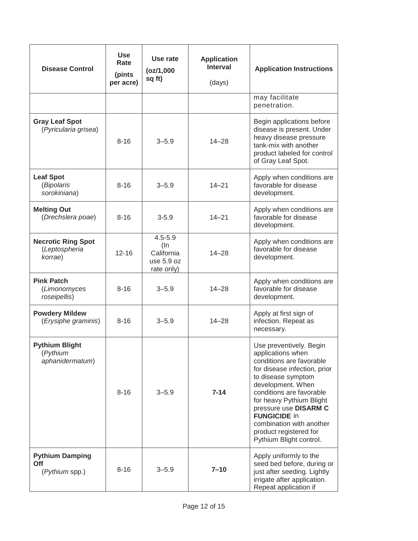| <b>Disease Control</b>                                | <b>Use</b><br>Rate<br>(pints<br>per acre) | Use rate<br>(oz/1,000)<br>sq ft)                                | <b>Application</b><br><b>Interval</b><br>(days) | <b>Application Instructions</b>                                                                                                                                                                                                                                                                                                              |
|-------------------------------------------------------|-------------------------------------------|-----------------------------------------------------------------|-------------------------------------------------|----------------------------------------------------------------------------------------------------------------------------------------------------------------------------------------------------------------------------------------------------------------------------------------------------------------------------------------------|
|                                                       |                                           |                                                                 |                                                 | may facilitate<br>penetration.                                                                                                                                                                                                                                                                                                               |
| <b>Gray Leaf Spot</b><br>(Pyricularia grisea)         | $8 - 16$                                  | $3 - 5.9$                                                       | $14 - 28$                                       | Begin applications before<br>disease is present. Under<br>heavy disease pressure<br>tank-mix with another<br>product labeled for control<br>of Gray Leaf Spot.                                                                                                                                                                               |
| <b>Leaf Spot</b><br>(Bipolaris<br>sorokiniana)        | $8 - 16$                                  | $3 - 5.9$                                                       | $14 - 21$                                       | Apply when conditions are<br>favorable for disease<br>development.                                                                                                                                                                                                                                                                           |
| <b>Melting Out</b><br>(Drechslera poae)               | $8 - 16$                                  | $3 - 5.9$                                                       | $14 - 21$                                       | Apply when conditions are<br>favorable for disease<br>development.                                                                                                                                                                                                                                                                           |
| <b>Necrotic Ring Spot</b><br>(Leptospheria<br>korrae) | $12 - 16$                                 | $4.5 - 5.9$<br>$($ In<br>California<br>use 5.9 oz<br>rate only) | $14 - 28$                                       | Apply when conditions are<br>favorable for disease<br>development.                                                                                                                                                                                                                                                                           |
| <b>Pink Patch</b><br>(Limonomyces<br>roseipellis)     | $8 - 16$                                  | $3 - 5.9$                                                       | $14 - 28$                                       | Apply when conditions are<br>favorable for disease<br>development.                                                                                                                                                                                                                                                                           |
| <b>Powdery Mildew</b><br>(Erysiphe graminis)          | $8 - 16$                                  | $3 - 5.9$                                                       | $14 - 28$                                       | Apply at first sign of<br>infection. Repeat as<br>necessary.                                                                                                                                                                                                                                                                                 |
| <b>Pythium Blight</b><br>(Pythium<br>aphanidermatum)  | $8 - 16$                                  | $3 - 5.9$                                                       | $7 - 14$                                        | Use preventively. Begin<br>applications when<br>conditions are favorable<br>for disease infection, prior<br>to disease symptom<br>development. When<br>conditions are favorable<br>for heavy Pythium Blight<br>pressure use DISARM C<br><b>FUNGICIDE in</b><br>combination with another<br>product registered for<br>Pythium Blight control. |
| <b>Pythium Damping</b><br>Off<br>(Pythium spp.)       | $8 - 16$                                  | $3 - 5.9$                                                       | $7 - 10$                                        | Apply uniformly to the<br>seed bed before, during or<br>just after seeding. Lightly<br>irrigate after application.<br>Repeat application if                                                                                                                                                                                                  |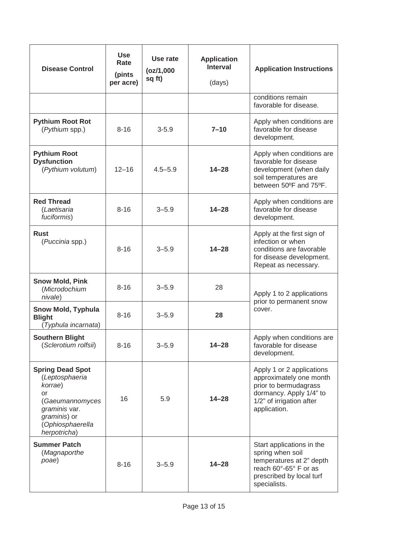| <b>Disease Control</b>                                                                                                                             | <b>Use</b><br>Rate<br>(pints<br>per acre) | Use rate<br>(oz/1,000)<br>sq ft) | <b>Application</b><br><b>Interval</b><br>(days) | <b>Application Instructions</b>                                                                                                                      |
|----------------------------------------------------------------------------------------------------------------------------------------------------|-------------------------------------------|----------------------------------|-------------------------------------------------|------------------------------------------------------------------------------------------------------------------------------------------------------|
|                                                                                                                                                    |                                           |                                  |                                                 | conditions remain<br>favorable for disease.                                                                                                          |
| <b>Pythium Root Rot</b><br>(Pythium spp.)                                                                                                          | $8 - 16$                                  | $3 - 5.9$                        | $7 - 10$                                        | Apply when conditions are<br>favorable for disease<br>development.                                                                                   |
| <b>Pythium Root</b><br><b>Dysfunction</b><br>(Pythium volutum)                                                                                     | $12 - 16$                                 | $4.5 - 5.9$                      | $14 - 28$                                       | Apply when conditions are<br>favorable for disease<br>development (when daily<br>soil temperatures are<br>between 50°F and 75°F.                     |
| <b>Red Thread</b><br>(Laetisaria<br>fuciformis)                                                                                                    | $8 - 16$                                  | $3 - 5.9$                        | $14 - 28$                                       | Apply when conditions are<br>favorable for disease<br>development.                                                                                   |
| <b>Rust</b><br>(Puccinia spp.)                                                                                                                     | $8 - 16$                                  | $3 - 5.9$                        | $14 - 28$                                       | Apply at the first sign of<br>infection or when<br>conditions are favorable<br>for disease development.<br>Repeat as necessary.                      |
| <b>Snow Mold, Pink</b><br>(Microdochium<br>nivale)                                                                                                 | $8 - 16$                                  | $3 - 5.9$                        | 28                                              | Apply 1 to 2 applications<br>prior to permanent snow<br>cover.                                                                                       |
| <b>Snow Mold, Typhula</b><br><b>Blight</b><br>(Typhula incarnata)                                                                                  | $8 - 16$                                  | $3 - 5.9$                        | 28                                              |                                                                                                                                                      |
| <b>Southern Blight</b><br>(Sclerotium rolfsii)                                                                                                     | $8 - 16$                                  | $3 - 5.9$                        | $14 - 28$                                       | Apply when conditions are<br>favorable for disease<br>development.                                                                                   |
| <b>Spring Dead Spot</b><br>(Leptosphaeria<br>korrae)<br>or<br>(Gaeumannomyces<br>graminis var.<br>graminis) or<br>(Ophiosphaerella<br>herpotricha) | 16                                        | 5.9                              | $14 - 28$                                       | Apply 1 or 2 applications<br>approximately one month<br>prior to bermudagrass<br>dormancy. Apply 1/4" to<br>1/2" of irrigation after<br>application. |
| <b>Summer Patch</b><br>(Magnaporthe<br>poae)                                                                                                       | $8 - 16$                                  | $3 - 5.9$                        | $14 - 28$                                       | Start applications in the<br>spring when soil<br>temperatures at 2" depth<br>reach 60°-65° F or as<br>prescribed by local turf<br>specialists.       |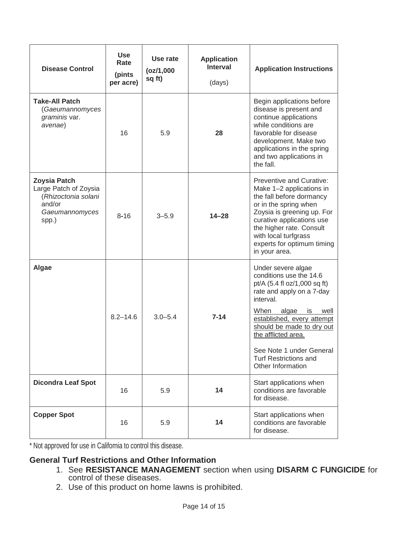| <b>Disease Control</b>                                                                                   | <b>Use</b><br>Rate<br>(pints<br>per acre) | Use rate<br>(oz/1,000)<br>sq ft) | <b>Application</b><br><b>Interval</b><br>(days) | <b>Application Instructions</b>                                                                                                                                                                                                                                                                                           |
|----------------------------------------------------------------------------------------------------------|-------------------------------------------|----------------------------------|-------------------------------------------------|---------------------------------------------------------------------------------------------------------------------------------------------------------------------------------------------------------------------------------------------------------------------------------------------------------------------------|
| <b>Take-All Patch</b><br>(Gaeumannomyces<br>graminis var.<br>avenae)                                     | 16                                        | 5.9                              | 28                                              | Begin applications before<br>disease is present and<br>continue applications<br>while conditions are<br>favorable for disease<br>development. Make two<br>applications in the spring<br>and two applications in<br>the fall.                                                                                              |
| <b>Zoysia Patch</b><br>Large Patch of Zoysia<br>(Rhizoctonia solani<br>and/or<br>Gaeumannomyces<br>spp.) | $8 - 16$                                  | $3 - 5.9$                        | $14 - 28$                                       | <b>Preventive and Curative:</b><br>Make 1-2 applications in<br>the fall before dormancy<br>or in the spring when<br>Zoysia is greening up. For<br>curative applications use<br>the higher rate. Consult<br>with local turfgrass<br>experts for optimum timing<br>in your area.                                            |
| Algae                                                                                                    | $8.2 - 14.6$                              | $3.0 - 5.4$                      | $7 - 14$                                        | Under severe algae<br>conditions use the 14.6<br>pt/A (5.4 fl oz/1,000 sq ft)<br>rate and apply on a 7-day<br>interval.<br>When<br>algae<br>is<br>well<br>established, every attempt<br>should be made to dry out<br>the afflicted area.<br>See Note 1 under General<br><b>Turf Restrictions and</b><br>Other Information |
| <b>Dicondra Leaf Spot</b>                                                                                | 16                                        | 5.9                              | 14                                              | Start applications when<br>conditions are favorable<br>for disease.                                                                                                                                                                                                                                                       |
| <b>Copper Spot</b>                                                                                       | 16                                        | 5.9                              | 14                                              | Start applications when<br>conditions are favorable<br>for disease.                                                                                                                                                                                                                                                       |

\* Not approved for use in California to control this disease.

## **General Turf Restrictions and Other Information**

- 1. See **RESISTANCE MANAGEMENT** section when using **DISARM C FUNGICIDE** for control of these diseases.
- 2. Use of this product on home lawns is prohibited.